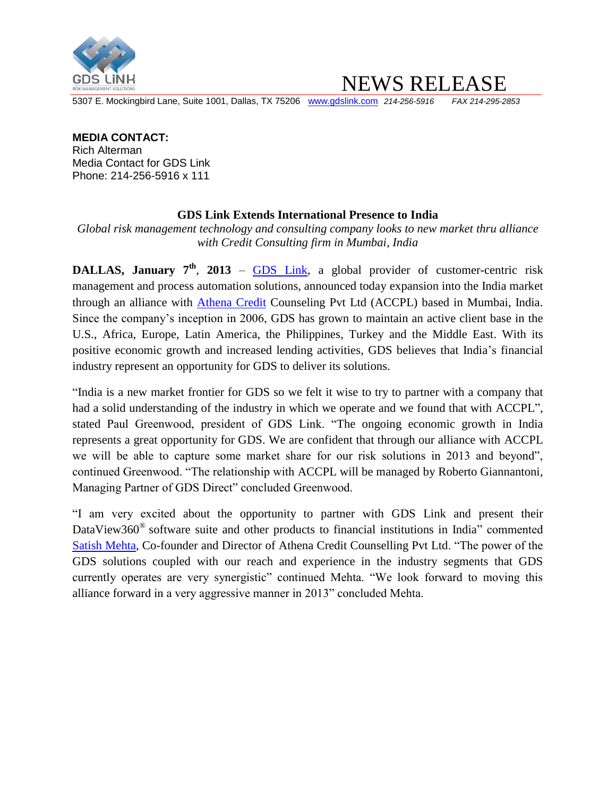

NEWS RELEASE

5307 E. Mockingbird Lane, Suite 1001, Dallas, TX 75206 [www.gdslink.com](http://www.gdslink.com/) *214-256-5916 FAX 214-295-2853*

## **MEDIA CONTACT:**

Rich Alterman Media Contact for GDS Link Phone: 214-256-5916 x 111

## **GDS Link Extends International Presence to India**

*Global risk management technology and consulting company looks to new market thru alliance with Credit Consulting firm in Mumbai, India*

**DALLAS, January 7th** , **2013** – [GDS Link,](http://www.gdslink.com/) a global provider of customer-centric risk management and process automation solutions, announced today expansion into the India market through an alliance with [Athena Credit](http://www.credexpert.co.in/) Counseling Pvt Ltd (ACCPL) based in Mumbai, India. Since the company's inception in 2006, GDS has grown to maintain an active client base in the U.S., Africa, Europe, Latin America, the Philippines, Turkey and the Middle East. With its positive economic growth and increased lending activities, GDS believes that India's financial industry represent an opportunity for GDS to deliver its solutions.

"India is a new market frontier for GDS so we felt it wise to try to partner with a company that had a solid understanding of the industry in which we operate and we found that with ACCPL", stated Paul Greenwood, president of GDS Link. "The ongoing economic growth in India represents a great opportunity for GDS. We are confident that through our alliance with ACCPL we will be able to capture some market share for our risk solutions in 2013 and beyond", continued Greenwood. "The relationship with ACCPL will be managed by Roberto Giannantoni, Managing Partner of GDS Direct" concluded Greenwood.

"I am very excited about the opportunity to partner with GDS Link and present their DataView360<sup>®</sup> software suite and other products to financial institutions in India" commented [Satish Mehta,](http://www.credexpert.co.in/our_human_capital.html) Co-founder and Director of Athena Credit Counselling Pvt Ltd. "The power of the GDS solutions coupled with our reach and experience in the industry segments that GDS currently operates are very synergistic" continued Mehta. "We look forward to moving this alliance forward in a very aggressive manner in 2013" concluded Mehta.